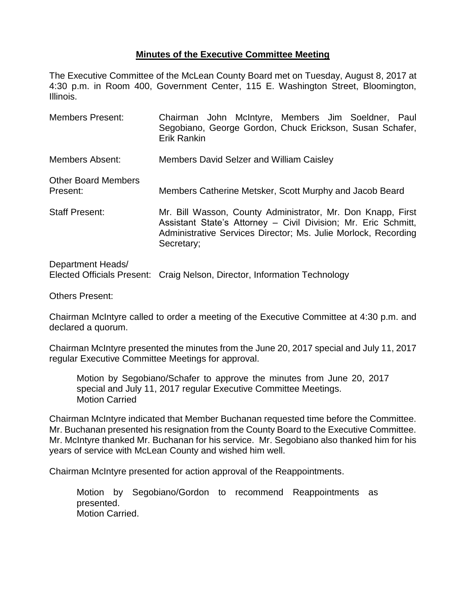## **Minutes of the Executive Committee Meeting**

The Executive Committee of the McLean County Board met on Tuesday, August 8, 2017 at 4:30 p.m. in Room 400, Government Center, 115 E. Washington Street, Bloomington, Illinois.

Members Present: Chairman John McIntyre, Members Jim Soeldner, Paul Segobiano, George Gordon, Chuck Erickson, Susan Schafer, Erik Rankin Members Absent: Members David Selzer and William Caisley Other Board Members Present: Members Catherine Metsker, Scott Murphy and Jacob Beard Staff Present: Mr. Bill Wasson, County Administrator, Mr. Don Knapp, First Assistant State's Attorney – Civil Division; Mr. Eric Schmitt, Administrative Services Director; Ms. Julie Morlock, Recording Secretary;

## Department Heads/ Elected Officials Present: Craig Nelson, Director, Information Technology

Others Present:

Chairman McIntyre called to order a meeting of the Executive Committee at 4:30 p.m. and declared a quorum.

Chairman McIntyre presented the minutes from the June 20, 2017 special and July 11, 2017 regular Executive Committee Meetings for approval.

Motion by Segobiano/Schafer to approve the minutes from June 20, 2017 special and July 11, 2017 regular Executive Committee Meetings. Motion Carried

Chairman McIntyre indicated that Member Buchanan requested time before the Committee. Mr. Buchanan presented his resignation from the County Board to the Executive Committee. Mr. McIntyre thanked Mr. Buchanan for his service. Mr. Segobiano also thanked him for his years of service with McLean County and wished him well.

Chairman McIntyre presented for action approval of the Reappointments.

Motion by Segobiano/Gordon to recommend Reappointments as presented. Motion Carried.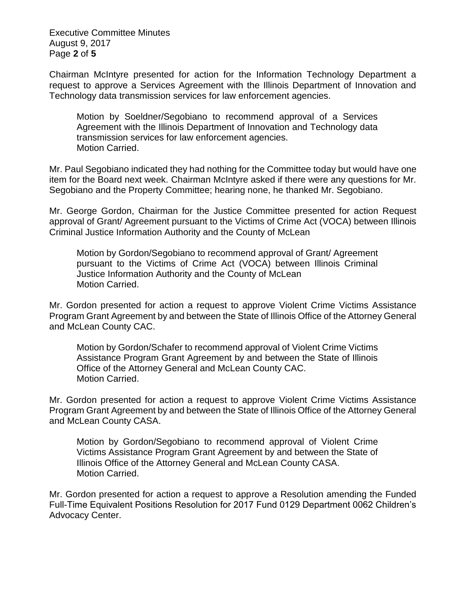Executive Committee Minutes August 9, 2017 Page **2** of **5**

Chairman McIntyre presented for action for the Information Technology Department a request to approve a Services Agreement with the Illinois Department of Innovation and Technology data transmission services for law enforcement agencies.

Motion by Soeldner/Segobiano to recommend approval of a Services Agreement with the Illinois Department of Innovation and Technology data transmission services for law enforcement agencies. Motion Carried.

Mr. Paul Segobiano indicated they had nothing for the Committee today but would have one item for the Board next week. Chairman McIntyre asked if there were any questions for Mr. Segobiano and the Property Committee; hearing none, he thanked Mr. Segobiano.

Mr. George Gordon, Chairman for the Justice Committee presented for action Request approval of Grant/ Agreement pursuant to the Victims of Crime Act (VOCA) between Illinois Criminal Justice Information Authority and the County of McLean

Motion by Gordon/Segobiano to recommend approval of Grant/ Agreement pursuant to the Victims of Crime Act (VOCA) between Illinois Criminal Justice Information Authority and the County of McLean Motion Carried.

Mr. Gordon presented for action a request to approve Violent Crime Victims Assistance Program Grant Agreement by and between the State of Illinois Office of the Attorney General and McLean County CAC.

Motion by Gordon/Schafer to recommend approval of Violent Crime Victims Assistance Program Grant Agreement by and between the State of Illinois Office of the Attorney General and McLean County CAC. Motion Carried.

Mr. Gordon presented for action a request to approve Violent Crime Victims Assistance Program Grant Agreement by and between the State of Illinois Office of the Attorney General and McLean County CASA.

Motion by Gordon/Segobiano to recommend approval of Violent Crime Victims Assistance Program Grant Agreement by and between the State of Illinois Office of the Attorney General and McLean County CASA. Motion Carried.

Mr. Gordon presented for action a request to approve a Resolution amending the Funded Full-Time Equivalent Positions Resolution for 2017 Fund 0129 Department 0062 Children's Advocacy Center.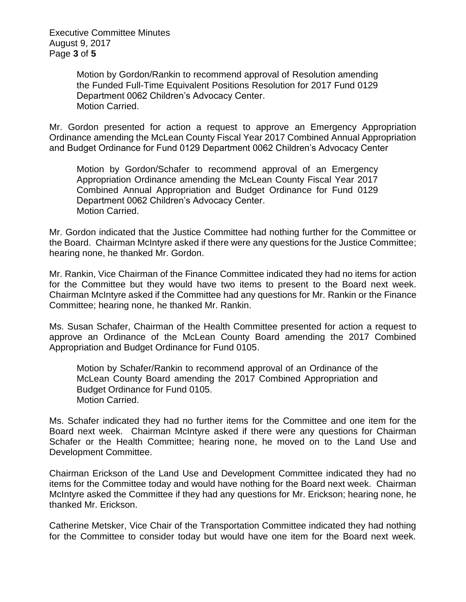Executive Committee Minutes August 9, 2017 Page **3** of **5**

> Motion by Gordon/Rankin to recommend approval of Resolution amending the Funded Full-Time Equivalent Positions Resolution for 2017 Fund 0129 Department 0062 Children's Advocacy Center. Motion Carried.

Mr. Gordon presented for action a request to approve an Emergency Appropriation Ordinance amending the McLean County Fiscal Year 2017 Combined Annual Appropriation and Budget Ordinance for Fund 0129 Department 0062 Children's Advocacy Center

Motion by Gordon/Schafer to recommend approval of an Emergency Appropriation Ordinance amending the McLean County Fiscal Year 2017 Combined Annual Appropriation and Budget Ordinance for Fund 0129 Department 0062 Children's Advocacy Center. Motion Carried.

Mr. Gordon indicated that the Justice Committee had nothing further for the Committee or the Board. Chairman McIntyre asked if there were any questions for the Justice Committee; hearing none, he thanked Mr. Gordon.

Mr. Rankin, Vice Chairman of the Finance Committee indicated they had no items for action for the Committee but they would have two items to present to the Board next week. Chairman McIntyre asked if the Committee had any questions for Mr. Rankin or the Finance Committee; hearing none, he thanked Mr. Rankin.

Ms. Susan Schafer, Chairman of the Health Committee presented for action a request to approve an Ordinance of the McLean County Board amending the 2017 Combined Appropriation and Budget Ordinance for Fund 0105.

Motion by Schafer/Rankin to recommend approval of an Ordinance of the McLean County Board amending the 2017 Combined Appropriation and Budget Ordinance for Fund 0105. Motion Carried.

Ms. Schafer indicated they had no further items for the Committee and one item for the Board next week. Chairman McIntyre asked if there were any questions for Chairman Schafer or the Health Committee; hearing none, he moved on to the Land Use and Development Committee.

Chairman Erickson of the Land Use and Development Committee indicated they had no items for the Committee today and would have nothing for the Board next week. Chairman McIntyre asked the Committee if they had any questions for Mr. Erickson; hearing none, he thanked Mr. Erickson.

Catherine Metsker, Vice Chair of the Transportation Committee indicated they had nothing for the Committee to consider today but would have one item for the Board next week.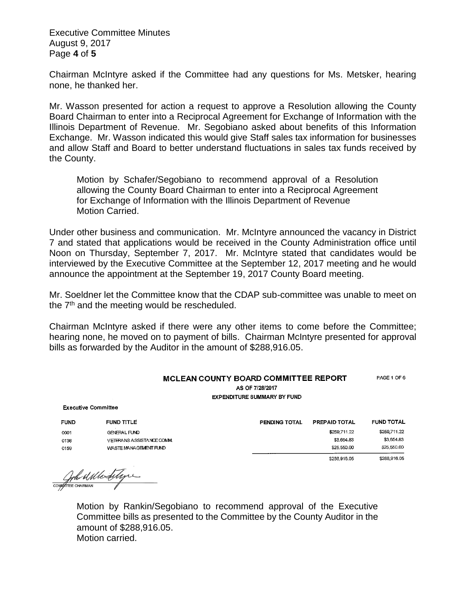Executive Committee Minutes August 9, 2017 Page **4** of **5**

Chairman McIntyre asked if the Committee had any questions for Ms. Metsker, hearing none, he thanked her.

Mr. Wasson presented for action a request to approve a Resolution allowing the County Board Chairman to enter into a Reciprocal Agreement for Exchange of Information with the Illinois Department of Revenue. Mr. Segobiano asked about benefits of this Information Exchange. Mr. Wasson indicated this would give Staff sales tax information for businesses and allow Staff and Board to better understand fluctuations in sales tax funds received by the County.

Motion by Schafer/Segobiano to recommend approval of a Resolution allowing the County Board Chairman to enter into a Reciprocal Agreement for Exchange of Information with the Illinois Department of Revenue Motion Carried.

Under other business and communication. Mr. McIntyre announced the vacancy in District 7 and stated that applications would be received in the County Administration office until Noon on Thursday, September 7, 2017. Mr. McIntyre stated that candidates would be interviewed by the Executive Committee at the September 12, 2017 meeting and he would announce the appointment at the September 19, 2017 County Board meeting.

Mr. Soeldner let the Committee know that the CDAP sub-committee was unable to meet on the 7<sup>th</sup> and the meeting would be rescheduled.

Chairman McIntyre asked if there were any other items to come before the Committee; hearing none, he moved on to payment of bills. Chairman McIntyre presented for approval bills as forwarded by the Auditor in the amount of \$288,916.05.

| <b>MCLEAN COUNTY BOARD COMMITTEE REPORT</b> | PAGE 1 OF 6 |
|---------------------------------------------|-------------|
| AS OF 7/28/2017                             |             |
| <b>EXPENDITURE SUMMARY BY FUND</b>          |             |

| <b>Executive Committee</b> |                         |  |  |  |
|----------------------------|-------------------------|--|--|--|
| <b>FUND</b>                | <b>FUND TITLE</b>       |  |  |  |
| 0001                       | GENERAL FUND            |  |  |  |
| 0136                       | VETERANS ASSISTANCE COM |  |  |  |
| 0159                       | WASTE MANAGEMENT FUND   |  |  |  |

| PENDING TOTAL | PREPAID TOTAL | <b>FUND TOTAL</b> |
|---------------|---------------|-------------------|
|               | \$259,711.22  | \$259,711.22      |
|               | \$3,654.83    | \$3.654.83        |
|               | \$25,550.00   | \$25,550.00       |
|               | \$288.916.05  | \$288,916.05      |

Contra Westing

Motion by Rankin/Segobiano to recommend approval of the Executive Committee bills as presented to the Committee by the County Auditor in the amount of \$288,916.05. Motion carried.